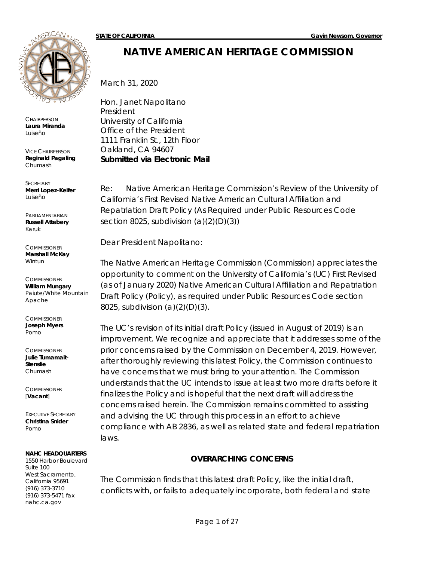

**CHAIRPERSON Laura Miranda** *Luiseño*

VICE CHAIRPERSON **Reginald Pagaling** *Chumash*

**SECRETARY Merri Lopez-Keifer** *Luiseño*

PARLIAMENTARIAN **Russell Attebery** *Karuk*

**COMMISSIONER Marshall McKay** *Wintun*

**COMMISSIONER William Mungary** *Paiute/White Mountain Apache*

**COMMISSIONER Joseph Myers** *Pomo*

**COMMISSIONER Julie Tumamait-Stenslie** *Chumash*

**COMMISSIONER** [**Vacant**]

EXECUTIVE SECRETARY **Christina Snider** *Pomo*

#### **NAHC HEADQUARTERS**

1550 Harbor Boulevard Suite 100 West Sacramento, California 95691 (916) 373-3710 (916) 373-5471 fax nahc.ca.gov

# **NATIVE AMERICAN HERITAGE COMMISSION**

March 31, 2020

Hon. Janet Napolitano President University of California Office of the President 1111 Franklin St., 12th Floor Oakland, CA 94607 *Submitted via Electronic Mail*

Re: Native American Heritage Commission's Review of the University of California's First Revised Native American Cultural Affiliation and Repatriation Draft Policy (As Required under Public Resources Code section 8025, subdivision (a)(2)(D)(3))

Dear President Napolitano:

The Native American Heritage Commission (Commission) appreciates the opportunity to comment on the University of California's (UC) First Revised (as of January 2020) Native American Cultural Affiliation and Repatriation Draft Policy (Policy), as required under Public Resources Code section 8025, subdivision (a)(2)(D)(3).

The UC's revision of its initial draft Policy (issued in August of 2019) is an improvement. We recognize and appreciate that it addresses some of the prior concerns raised by the Commission on December 4, 2019. However, after thoroughly reviewing this latest Policy, the Commission continues to have concerns that we must bring to your attention. The Commission understands that the UC intends to issue at least two more drafts before it finalizes the Policy and is hopeful that the next draft will address the concerns raised herein. The Commission remains committed to assisting and advising the UC through this process in an effort to achieve compliance with AB 2836, as well as related state and federal repatriation laws.

#### **OVERARCHING CONCERNS**

The Commission finds that this latest draft Policy, like the initial draft, conflicts with, or fails to adequately incorporate, both federal and state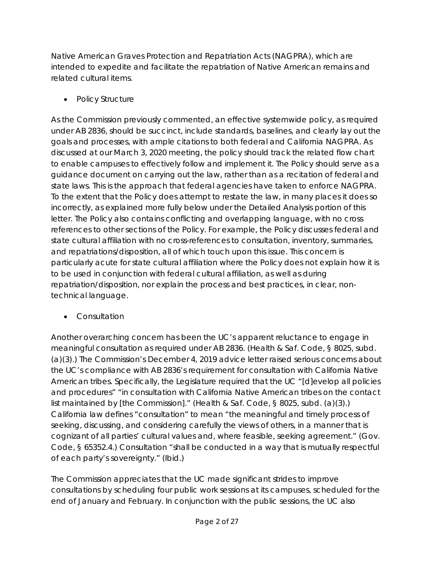Native American Graves Protection and Repatriation Acts (NAGPRA), which are intended to expedite and facilitate the repatriation of Native American remains and related cultural items.

• *Policy Structure*

As the Commission previously commented, an effective systemwide policy, as required under AB 2836, should be succinct, include standards, baselines, and clearly lay out the goals and processes, with ample citations to both federal and California NAGPRA. As discussed at our March 3, 2020 meeting, the policy should track the related flow chart to enable campuses to effectively follow and implement it. The Policy should serve as a guidance document on carrying out the law, rather than as a recitation of federal and state laws. This is the approach that federal agencies have taken to enforce NAGPRA. To the extent that the Policy does attempt to restate the law, in many places it does so incorrectly, as explained more fully below under the Detailed Analysis portion of this letter. The Policy also contains conflicting and overlapping language, with no cross references to other sections of the Policy. For example, the Policy discusses federal and state cultural affiliation with no cross-references to consultation, inventory, summaries, and repatriations/disposition, all of which touch upon this issue. This concern is particularly acute for state cultural affiliation where the Policy does not explain how it is to be used in conjunction with federal cultural affiliation, as well as during repatriation/disposition, nor explain the process and best practices, in clear, nontechnical language.

• *Consultation*

Another overarching concern has been the UC's apparent reluctance to engage in meaningful consultation as required under AB 2836. (Health & Saf. Code, § 8025, subd. (a)(3).) The Commission's December 4, 2019 advice letter raised serious concerns about the UC's compliance with AB 2836's requirement for consultation with California Native American tribes. Specifically, the Legislature required that the UC "[d]evelop all policies and procedures" "in consultation with California Native American tribes on the contact list maintained by [the Commission]." (Health & Saf. Code, § 8025, subd. (a)(3).) California law defines "consultation" to mean "the meaningful and timely process of seeking, discussing, and considering carefully the views of others, in a manner that is cognizant of all parties' cultural values and, where feasible, seeking agreement." (Gov. Code, § 65352.4.) Consultation "shall be conducted in a way that is mutually respectful of each party's sovereignty." (*Ibid.*)

The Commission appreciates that the UC made significant strides to improve consultations by scheduling four public work sessions at its campuses, scheduled for the end of January and February. In conjunction with the public sessions, the UC also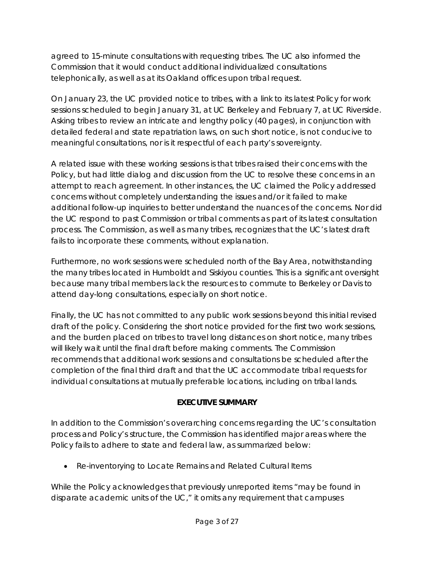agreed to 15-minute consultations with requesting tribes. The UC also informed the Commission that it would conduct additional individualized consultations telephonically, as well as at its Oakland offices upon tribal request.

On January 23, the UC provided notice to tribes, with a link to its latest Policy for work sessions scheduled to begin January 31, at UC Berkeley and February 7, at UC Riverside. Asking tribes to review an intricate and lengthy policy (40 pages), in conjunction with detailed federal and state repatriation laws, on such short notice, is not conducive to meaningful consultations, nor is it respectful of each party's sovereignty.

A related issue with these working sessions is that tribes raised their concerns with the Policy, but had little dialog and discussion from the UC to resolve these concerns in an attempt to reach agreement. In other instances, the UC claimed the Policy addressed concerns without completely understanding the issues and/or it failed to make additional follow-up inquiries to better understand the nuances of the concerns. Nor did the UC respond to past Commission or tribal comments as part of its latest consultation process. The Commission, as well as many tribes, recognizes that the UC's latest draft fails to incorporate these comments, without explanation.

Furthermore, no work sessions were scheduled north of the Bay Area, notwithstanding the many tribes located in Humboldt and Siskiyou counties. This is a significant oversight because many tribal members lack the resources to commute to Berkeley or Davis to attend day-long consultations, especially on short notice.

Finally, the UC has not committed to any public work sessions beyond this initial revised draft of the policy. Considering the short notice provided for the first two work sessions, and the burden placed on tribes to travel long distances on short notice, many tribes will likely wait until the final draft before making comments. The Commission recommends that additional work sessions and consultations be scheduled after the completion of the final third draft and that the UC accommodate tribal requests for individual consultations at mutually preferable locations, including on tribal lands.

# **EXECUTIVE SUMMARY**

In addition to the Commission's overarching concerns regarding the UC's consultation process and Policy's structure, the Commission has identified major areas where the Policy fails to adhere to state and federal law, as summarized below:

• *Re-inventorying to Locate Remains and Related Cultural Items*

While the Policy acknowledges that previously unreported items "may be found in disparate academic units of the UC," it omits any requirement that campuses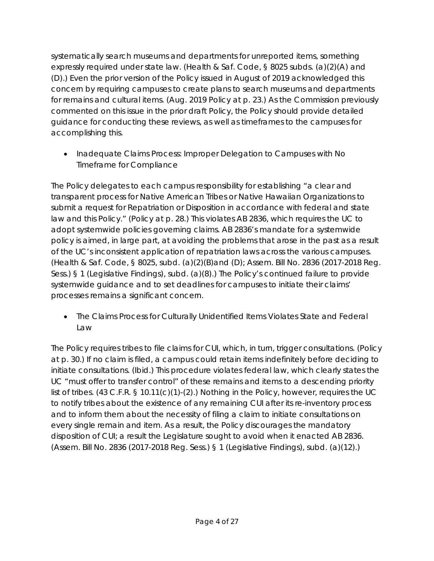systematically search museums and departments for unreported items, something expressly required under state law. (Health & Saf. Code, § 8025 subds. (a)(2)(A) and (D).) Even the prior version of the Policy issued in August of 2019 acknowledged this concern by requiring campuses to create plans to search museums and departments for remains and cultural items. (Aug. 2019 Policy at p. 23.) As the Commission previously commented on this issue in the prior draft Policy, the Policy should provide detailed guidance for conducting these reviews, as well as timeframes to the campuses for accomplishing this.

• *Inadequate Claims Process: Improper Delegation to Campuses with No Timeframe for Compliance*

The Policy delegates to each campus responsibility for establishing "a clear and transparent process for Native American Tribes or Native Hawaiian Organizations to submit a request for Repatriation or Disposition in accordance with federal and state law and this Policy." (Policy at p. 28.) This violates AB 2836, which requires the UC to adopt systemwide policies governing claims. AB 2836's mandate for a systemwide policy is aimed, in large part, at avoiding the problems that arose in the past as a result of the UC's inconsistent application of repatriation laws across the various campuses. (Health & Saf. Code, § 8025, subd. (a)(2)(B)and (D); Assem. Bill No. 2836 (2017-2018 Reg. Sess.) § 1 (Legislative Findings), subd. (a)(8).) The Policy's continued failure to provide systemwide guidance and to set deadlines for campuses to initiate their claims' processes remains a significant concern.

• *The Claims Process for Culturally Unidentified Items Violates State and Federal Law*

The Policy requires tribes to file claims for CUI, which, in turn, trigger consultations. (Policy at p. 30.) If no claim is filed, a campus could retain items indefinitely before deciding to initiate consultations. (*Ibid.*) This procedure violates federal law, which clearly states the UC "must offer to transfer control" of these remains and items to a descending priority list of tribes. (43 C.F.R. § 10.11(c)(1)-(2).) Nothing in the Policy, however, requires the UC to notify tribes about the existence of any remaining CUI after its re-inventory process and to inform them about the necessity of filing a claim to initiate consultations on every single remain and item. As a result, the Policy discourages the mandatory disposition of CUI; a result the Legislature sought to avoid when it enacted AB 2836. (Assem. Bill No. 2836 (2017-2018 Reg. Sess.) § 1 (Legislative Findings), subd. (a)(12).)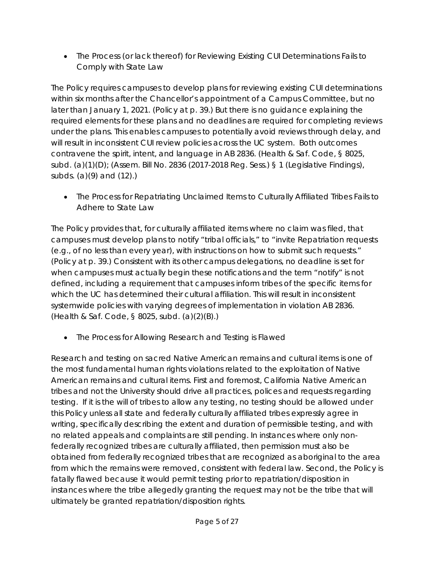• *The Process (or lack thereof) for Reviewing Existing CUI Determinations Fails to Comply with State Law*

The Policy requires campuses to develop plans for reviewing existing CUI determinations within six months after the Chancellor's appointment of a Campus Committee, but no later than January 1, 2021. (Policy at p. 39.) But there is no guidance explaining the required elements for these plans and no deadlines are required for completing reviews under the plans. This enables campuses to potentially avoid reviews through delay, and will result in inconsistent CUI review policies across the UC system. Both outcomes contravene the spirit, intent, and language in AB 2836. (Health & Saf. Code, § 8025, subd. (a)(1)(D); (Assem. Bill No. 2836 (2017-2018 Reg. Sess.) § 1 (Legislative Findings), subds. (a)(9) and (12).)

• *The Process for Repatriating Unclaimed Items to Culturally Affiliated Tribes Fails to Adhere to State Law*

The Policy provides that, for culturally affiliated items where no claim was filed, that campuses must develop plans to notify "tribal officials," to "invite Repatriation requests (e.g., of no less than every year), with instructions on how to submit such requests." (Policy at p. 39.) Consistent with its other campus delegations, no deadline is set for when campuses must actually begin these notifications and the term "notify" is not defined, including a requirement that campuses inform tribes of the specific items for which the UC has determined their cultural affiliation. This will result in inconsistent systemwide policies with varying degrees of implementation in violation AB 2836. (Health & Saf. Code, § 8025, subd. (a)(2)(B).)

• *The Process for Allowing Research and Testing is Flawed*

Research and testing on sacred Native American remains and cultural items is one of the most fundamental human rights violations related to the exploitation of Native American remains and cultural items. First and foremost, California Native American tribes and not the University should drive all practices, polices and requests regarding testing. If it is the will of tribes to allow any testing, no testing should be allowed under this Policy unless all state and federally culturally affiliated tribes expressly agree in writing, specifically describing the extent and duration of permissible testing, and with no related appeals and complaints are still pending. In instances where only nonfederally recognized tribes are culturally affiliated, then permission must also be obtained from federally recognized tribes that are recognized as aboriginal to the area from which the remains were removed, consistent with federal law. Second, the Policy is fatally flawed because it would permit testing prior to repatriation/disposition in instances where the tribe allegedly granting the request may not be the tribe that will ultimately be granted repatriation/disposition rights.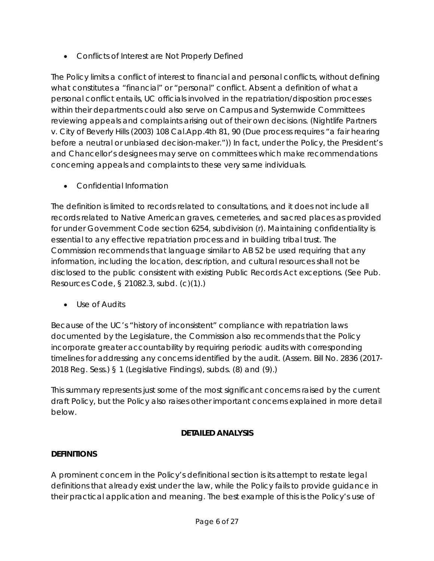• *Conflicts of Interest are Not Properly Defined*

The Policy limits a conflict of interest to financial and personal conflicts, without defining what constitutes a "financial" or "personal" conflict. Absent a definition of what a personal conflict entails, UC officials involved in the repatriation/disposition processes within their departments could also serve on Campus and Systemwide Committees reviewing appeals and complaints arising out of their own decisions. (*Nightlife Partners v. City of Beverly Hills* (2003) 108 Cal.App.4th 81, 90 (Due process requires "a fair hearing before a neutral or unbiased decision-maker.")) In fact, under the Policy, the President's and Chancellor's designees may serve on committees which make recommendations concerning appeals and complaints to these very same individuals.

• *Confidential Information*

The definition is limited to records related to consultations, and it does not include all records related to Native American graves, cemeteries, and sacred places as provided for under Government Code section 6254, subdivision (r). Maintaining confidentiality is essential to any effective repatriation process and in building tribal trust. The Commission recommends that language similar to AB 52 be used requiring that any information, including the location, description, and cultural resources shall not be disclosed to the public consistent with existing Public Records Act exceptions. (See Pub. Resources Code, § 21082.3, subd. (c)(1).)

• *Use of Audits*

Because of the UC's "history of inconsistent" compliance with repatriation laws documented by the Legislature, the Commission also recommends that the Policy incorporate greater accountability by requiring periodic audits with corresponding timelines for addressing any concerns identified by the audit. (Assem. Bill No. 2836 (2017- 2018 Reg. Sess.) § 1 (Legislative Findings), subds. (8) and (9).)

This summary represents just some of the most significant concerns raised by the current draft Policy, but the Policy also raises other important concerns explained in more detail below.

# **DETAILED ANALYSIS**

# **DEFINITIONS**

A prominent concern in the Policy's definitional section is its attempt to restate legal definitions that already exist under the law, while the Policy fails to provide guidance in their practical application and meaning. The best example of this is the Policy's use of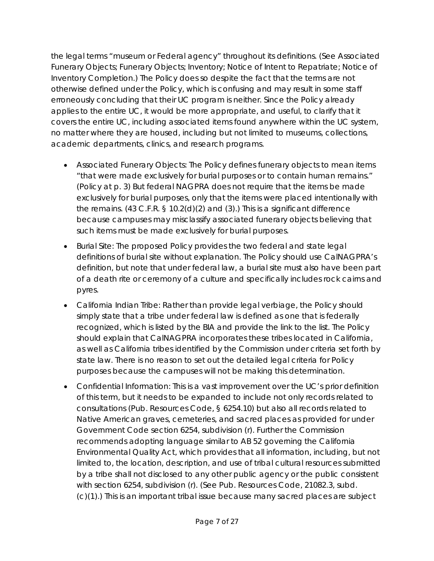the legal terms "museum or Federal agency" throughout its definitions. (See Associated Funerary Objects; Funerary Objects; Inventory; Notice of Intent to Repatriate; Notice of Inventory Completion.) The Policy does so despite the fact that the terms are not otherwise defined under the Policy, which is confusing and may result in some staff erroneously concluding that their UC program is neither. Since the Policy already applies to the entire UC, it would be more appropriate, and useful, to clarify that it covers the entire UC, including associated items found anywhere within the UC system, no matter where they are housed, including but not limited to museums, collections, academic departments, clinics, and research programs.

- Associated Funerary Objects: The Policy defines funerary objects to mean items "that were made exclusively for burial purposes or to contain human remains." (Policy at p. 3) But federal NAGPRA does not require that the items be made exclusively for burial purposes, only that the items were placed intentionally with the remains. (43 C.F.R. § 10.2(d)(2) and (3).) This is a significant difference because campuses may misclassify associated funerary objects believing that such items must be made exclusively for burial purposes.
- Burial Site: The proposed Policy provides the two federal and state legal definitions of burial site without explanation. The Policy should use CalNAGPRA's definition, but note that under federal law, a burial site must also have been part of a death rite or ceremony of a culture and specifically includes rock cairns and pyres.
- California Indian Tribe: Rather than provide legal verbiage, the Policy should simply state that a tribe under federal law is defined as one that is federally recognized, which is listed by the BIA and provide the link to the list. The Policy should explain that CalNAGPRA incorporates these tribes located in California, as well as California tribes identified by the Commission under criteria set forth by state law. There is no reason to set out the detailed legal criteria for Policy purposes because the campuses will not be making this determination.
- Confidential Information: This is a vast improvement over the UC's prior definition of this term, but it needs to be expanded to include not only records related to consultations (Pub. Resources Code, § 6254.10) but also all records related to Native American graves, cemeteries, and sacred places as provided for under Government Code section 6254, subdivision (r). Further the Commission recommends adopting language similar to AB 52 governing the California Environmental Quality Act, which provides that all information, including, but not limited to, the location, description, and use of tribal cultural resources submitted by a tribe shall not disclosed to any other public agency or the public consistent with section 6254, subdivision (r). (See Pub. Resources Code, 21082.3, subd. (c)(1).) This is an important tribal issue because many sacred places are subject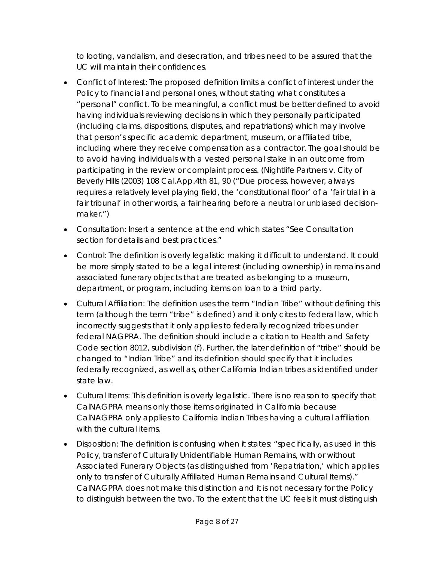to looting, vandalism, and desecration, and tribes need to be assured that the UC will maintain their confidences.

- Conflict of Interest: The proposed definition limits a conflict of interest under the Policy to financial and personal ones, without stating what constitutes a "personal" conflict. To be meaningful, a conflict must be better defined to avoid having individuals reviewing decisions in which they personally participated (including claims, dispositions, disputes, and repatriations) which may involve that person's specific academic department, museum, or affiliated tribe, including where they receive compensation as a contractor. The goal should be to avoid having individuals with a vested personal stake in an outcome from participating in the review or complaint process. (*Nightlife Partners v. City of Beverly Hills* (2003) 108 Cal.App.4th 81, 90 ("Due process, however, *always* requires a relatively level playing field, the 'constitutional floor' of a 'fair trial in a fair tribunal' in other words, a fair hearing before a neutral or unbiased decisionmaker.")
- Consultation: Insert a sentence at the end which states "See Consultation section for details and best practices."
- Control: The definition is overly legalistic making it difficult to understand. It could be more simply stated to be a legal interest (including ownership) in remains and associated funerary objects that are treated as belonging to a museum, department, or program, including items on loan to a third party.
- Cultural Affiliation: The definition uses the term "Indian Tribe" without defining this term (although the term "tribe" is defined) and it only cites to federal law, which incorrectly suggests that it only applies to federally recognized tribes under federal NAGPRA. The definition should include a citation to Health and Safety Code section 8012, subdivision (f). Further, the later definition of "tribe" should be changed to "Indian Tribe" and its definition should specify that it includes federally recognized, as well as, other California Indian tribes as identified under state law.
- Cultural Items: This definition is overly legalistic. There is no reason to specify that CalNAGPRA means only those items originated in California because CalNAGPRA only applies to California Indian Tribes having a cultural affiliation with the cultural items.
- Disposition: The definition is confusing when it states: "specifically, as used in this Policy, transfer of Culturally Unidentifiable Human Remains, with or without Associated Funerary Objects (as distinguished from 'Repatriation,' which applies only to transfer of Culturally Affiliated Human Remains and Cultural Items)." CalNAGPRA does not make this distinction and it is not necessary for the Policy to distinguish between the two. To the extent that the UC feels it must distinguish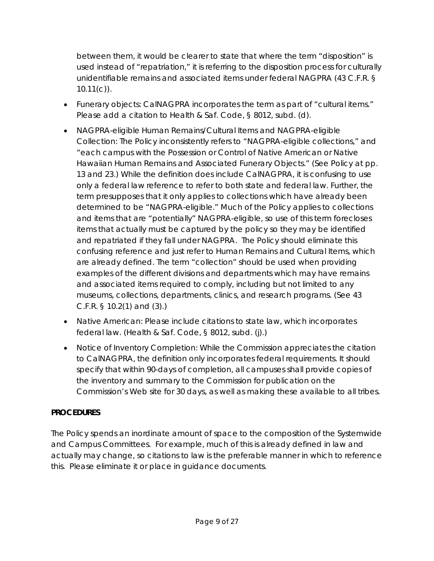between them, it would be clearer to state that where the term "disposition" is used instead of "repatriation," it is referring to the disposition process for culturally unidentifiable remains and associated items under federal NAGPRA (43 C.F.R. §  $10.11(c)$ .

- Funerary objects: CalNAGPRA incorporates the term as part of "cultural items." Please add a citation to Health & Saf. Code, § 8012, subd. (d).
- NAGPRA-eligible Human Remains/Cultural Items and NAGPRA-eligible Collection: The Policy inconsistently refers to "NAGPRA-eligible collections," and "each campus with the Possession or Control of Native American or Native Hawaiian Human Remains and Associated Funerary Objects." (See Policy at pp. 13 and 23.) While the definition does include CalNAGPRA, it is confusing to use only a federal law reference to refer to both state and federal law. Further, the term presupposes that it only applies to collections which have already been determined to be "NAGPRA-eligible." Much of the Policy applies to collections and items that are "potentially" NAGPRA-eligible, so use of this term forecloses items that actually must be captured by the policy so they may be identified and repatriated if they fall under NAGPRA. The Policy should eliminate this confusing reference and just refer to Human Remains and Cultural Items, which are already defined. The term "collection" should be used when providing examples of the different divisions and departments which may have remains and associated items required to comply, including but not limited to any museums, collections, departments, clinics, and research programs. (See 43 C.F.R. § 10.2(1) and (3).)
- Native American: Please include citations to state law, which incorporates federal law. (Health & Saf. Code, § 8012, subd. (j).)
- Notice of Inventory Completion: While the Commission appreciates the citation to CalNAGPRA, the definition only incorporates federal requirements. It should specify that within 90-days of completion, all campuses shall provide copies of the inventory and summary to the Commission for publication on the Commission's Web site for 30 days, as well as making these available to all tribes.

# **PROCEDURES**

The Policy spends an inordinate amount of space to the composition of the Systemwide and Campus Committees. For example, much of this is already defined in law and actually may change, so citations to law is the preferable manner in which to reference this. Please eliminate it or place in guidance documents.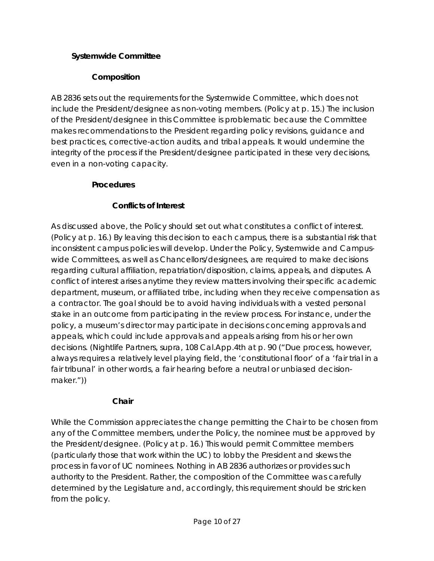## **Systemwide Committee**

### **Composition**

AB 2836 sets out the requirements for the Systemwide Committee, which does not include the President/designee as non-voting members. (Policy at p. 15.) The inclusion of the President/designee in this Committee is problematic because the Committee makes recommendations to the President regarding policy revisions, guidance and best practices, corrective-action audits, and tribal appeals. It would undermine the integrity of the process if the President/designee participated in these very decisions, even in a non-voting capacity.

### **Procedures**

### **Conflicts of Interest**

As discussed above, the Policy should set out what constitutes a conflict of interest. (Policy at p. 16.) By leaving this decision to each campus, there is a substantial risk that inconsistent campus policies will develop. Under the Policy, Systemwide and Campuswide Committees, as well as Chancellors/designees, are required to make decisions regarding cultural affiliation, repatriation/disposition, claims, appeals, and disputes. A conflict of interest arises anytime they review matters involving their specific academic department, museum, or affiliated tribe, including when they receive compensation as a contractor. The goal should be to avoid having individuals with a vested personal stake in an outcome from participating in the review process. For instance, under the policy, a museum's director may participate in decisions concerning approvals and appeals, which could include approvals and appeals arising from his or her own decisions. (*Nightlife Partners, supra,* 108 Cal.App.4th at p. 90 ("Due process, however, *always* requires a relatively level playing field, the 'constitutional floor' of a 'fair trial in a fair tribunal' in other words, a fair hearing before a neutral or unbiased decisionmaker."))

### **Chair**

While the Commission appreciates the change permitting the Chair to be chosen from any of the Committee members, under the Policy, the nominee must be approved by the President/designee. (Policy at p. 16.) This would permit Committee members (particularly those that work within the UC) to lobby the President and skews the process in favor of UC nominees. Nothing in AB 2836 authorizes or provides such authority to the President. Rather, the composition of the Committee was carefully determined by the Legislature and, accordingly, this requirement should be stricken from the policy.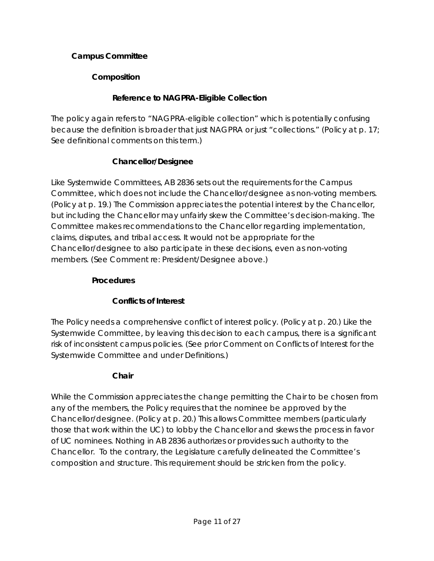### **Campus Committee**

### **Composition**

### **Reference to NAGPRA-Eligible Collection**

The policy again refers to "NAGPRA-eligible collection" which is potentially confusing because the definition is broader that just NAGPRA or just "collections." (Policy at p. 17; See definitional comments on this term.)

### **Chancellor/Designee**

Like Systemwide Committees, AB 2836 sets out the requirements for the Campus Committee, which does not include the Chancellor/designee as non-voting members. (Policy at p. 19.) The Commission appreciates the potential interest by the Chancellor, but including the Chancellor may unfairly skew the Committee's decision-making. The Committee makes recommendations to the Chancellor regarding implementation, claims, disputes, and tribal access. It would not be appropriate for the Chancellor/designee to also participate in these decisions, even as non-voting members. (See Comment re: President/Designee above.)

#### **Procedures**

### **Conflicts of Interest**

The Policy needs a comprehensive conflict of interest policy. (Policy at p. 20.) Like the Systemwide Committee, by leaving this decision to each campus, there is a significant risk of inconsistent campus policies. (See prior Comment on Conflicts of Interest for the Systemwide Committee and under Definitions.)

### **Chair**

While the Commission appreciates the change permitting the Chair to be chosen from any of the members, the Policy requires that the nominee be approved by the Chancellor/designee. (Policy at p. 20.) This allows Committee members (particularly those that work within the UC) to lobby the Chancellor and skews the process in favor of UC nominees. Nothing in AB 2836 authorizes or provides such authority to the Chancellor. To the contrary, the Legislature carefully delineated the Committee's composition and structure. This requirement should be stricken from the policy.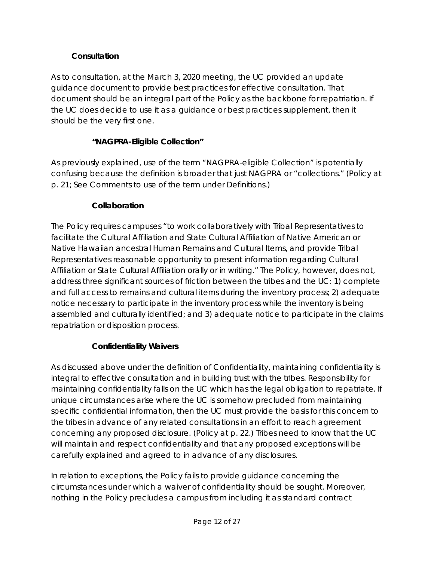# **Consultation**

As to consultation, at the March 3, 2020 meeting, the UC provided an update guidance document to provide best practices for effective consultation. That document should be an integral part of the Policy as the backbone for repatriation. If the UC does decide to use it as a guidance or best practices supplement, then it should be the very first one.

### **"NAGPRA-Eligible Collection"**

As previously explained, use of the term "NAGPRA-eligible Collection" is potentially confusing because the definition is broader that just NAGPRA or "collections." (Policy at p. 21; See Comments to use of the term under Definitions.)

### **Collaboration**

The Policy requires campuses "to work collaboratively with Tribal Representatives to facilitate the Cultural Affiliation and State Cultural Affiliation of Native American or Native Hawaiian ancestral Human Remains and Cultural Items, and provide Tribal Representatives reasonable opportunity to present information regarding Cultural Affiliation or State Cultural Affiliation orally or in writing." The Policy, however, does not, address three significant sources of friction between the tribes and the UC: 1) complete and full access to remains and cultural items during the inventory process; 2) adequate notice necessary to participate in the inventory process while the inventory is being assembled and culturally identified; and 3) adequate notice to participate in the claims repatriation or disposition process.

### **Confidentiality Waivers**

As discussed above under the definition of Confidentiality, maintaining confidentiality is integral to effective consultation and in building trust with the tribes. Responsibility for maintaining confidentiality falls on the UC which has the legal obligation to repatriate. If unique circumstances arise where the UC is somehow precluded from maintaining specific confidential information, then the UC must provide the basis for this concern to the tribes in advance of any related consultations in an effort to reach agreement concerning any proposed disclosure. (Policy at p. 22.) Tribes need to know that the UC will maintain and respect confidentiality and that any proposed exceptions will be carefully explained and agreed to in advance of any disclosures.

In relation to exceptions, the Policy fails to provide guidance concerning the circumstances under which a waiver of confidentiality should be sought. Moreover, nothing in the Policy precludes a campus from including it as standard contract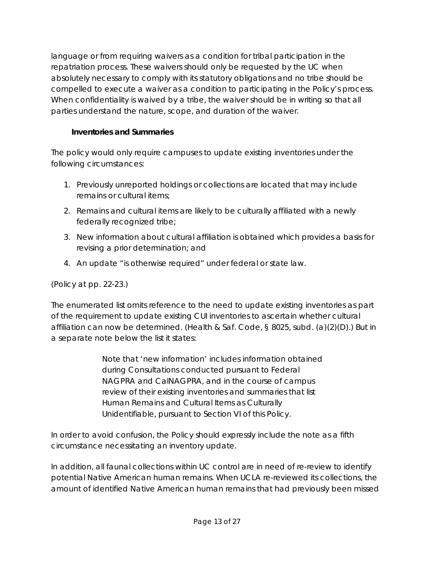language or from requiring waivers as a condition for tribal participation in the repatriation process. These waivers should only be requested by the UC when absolutely necessary to comply with its statutory obligations and no tribe should be compelled to execute a waiver as a condition to participating in the Policy's process. When confidentiality is waived by a tribe, the waiver should be in writing so that all parties understand the nature, scope, and duration of the waiver.

# **Inventories and Summaries**

The policy would only require campuses to update existing inventories under the following circumstances:

- 1. Previously unreported holdings or collections are located that may include remains or cultural items;
- 2. Remains and cultural items are likely to be culturally affiliated with a newly federally recognized tribe;
- 3. New information about cultural affiliation is obtained which provides a basis for revising a prior determination; and
- 4. An update "is otherwise required" under federal or state law.

(Policy at pp. 22-23.)

The enumerated list omits reference to the need to update existing inventories as part of the requirement to update existing CUI inventories to ascertain whether cultural affiliation can now be determined. (Health & Saf. Code, § 8025, subd. (a)(2)(D).) But in a separate note below the list it states:

> Note that 'new information' includes information obtained during Consultations conducted pursuant to Federal NAGPRA and CalNAGPRA, and in the course of campus review of their existing inventories and summaries that list Human Remains and Cultural Items as Culturally Unidentifiable, pursuant to Section VI of this Policy.

In order to avoid confusion, the Policy should expressly include the note as a fifth circumstance necessitating an inventory update.

In addition, all faunal collections within UC control are in need of re-review to identify potential Native American human remains. When UCLA re-reviewed its collections, the amount of identified Native American human remains that had previously been missed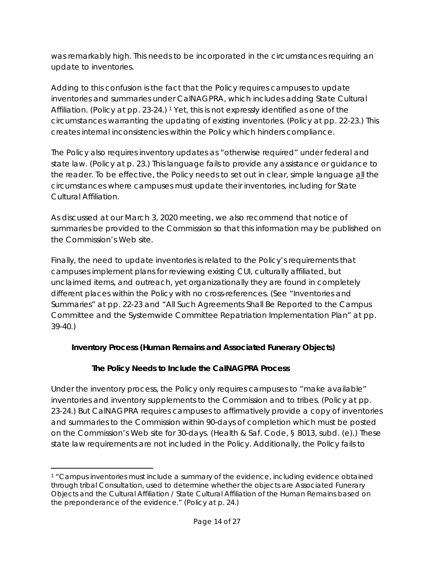was remarkably high. This needs to be incorporated in the circumstances requiring an update to inventories.

Adding to this confusion is the fact that the Policy requires campuses to update inventories and summaries under CalNAGPRA, which includes adding State Cultural Affiliation. (Policy at pp. 23-24.) [1](#page-13-0) Yet, this is not expressly identified as one of the circumstances warranting the updating of existing inventories. (Policy at pp. 22-23.) This creates internal inconsistencies within the Policy which hinders compliance.

The Policy also requires inventory updates as "otherwise required" under federal and state law. (Policy at p. 23.) This language fails to provide any assistance or guidance to the reader. To be effective, the Policy needs to set out in clear, simple language all the circumstances where campuses must update their inventories, including for State Cultural Affiliation.

As discussed at our March 3, 2020 meeting, we also recommend that notice of summaries be provided to the Commission so that this information may be published on the Commission's Web site.

Finally, the need to update inventories is related to the Policy's requirements that campuses implement plans for reviewing existing CUI, culturally affiliated, but unclaimed items, and outreach, yet organizationally they are found in completely different places within the Policy with no cross-references. (See "Inventories and Summaries" at pp. 22-23 and "All Such Agreements Shall Be Reported to the Campus Committee and the Systemwide Committee Repatriation Implementation Plan" at pp. 39-40.)

# **Inventory Process (Human Remains and Associated Funerary Objects)**

# **The Policy Needs to Include the CalNAGPRA Process**

Under the inventory process, the Policy only requires campuses to "make available" inventories and inventory supplements to the Commission and to tribes. (Policy at pp. 23-24.) But CalNAGPRA requires campuses to affirmatively provide a copy of inventories and summaries to the Commission within 90-days of completion which must be posted on the Commission's Web site for 30-days. (Health & Saf. Code, § 8013, subd. (e).) These state law requirements are not included in the Policy. Additionally, the Policy fails to

<span id="page-13-0"></span> $\overline{a}$ <sup>1</sup> "Campus inventories must include a summary of the evidence, including evidence obtained through tribal Consultation, used to determine whether the objects are Associated Funerary Objects and the Cultural Affiliation / State Cultural Affiliation of the Human Remains based on the preponderance of the evidence." (Policy at p. 24.)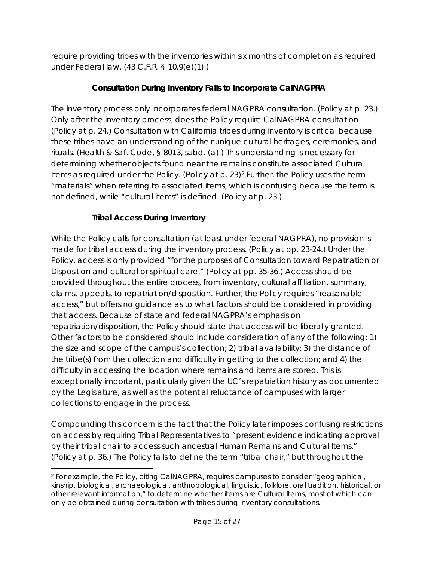require providing tribes with the inventories within six months of completion as required under Federal law. (43 C.F.R. § 10.9(e)(1).)

# **Consultation During Inventory Fails to Incorporate CalNAGPRA**

The inventory process only incorporates federal NAGPRA consultation. (Policy at p. 23.) Only after the inventory process, does the Policy require CalNAGPRA consultation (Policy at p. 24.) Consultation with California tribes during inventory is critical because these tribes have an understanding of their unique cultural heritages, ceremonies, and rituals. (Health & Saf. Code, § 8013, subd. (a).) This understanding is necessary for determining whether objects found near the remains constitute associated Cultural Items as required under the Policy. (Policy at p. 23)[2](#page-14-0) Further, the Policy uses the term "materials" when referring to associated items, which is confusing because the term is not defined, while "cultural items" is defined. (Policy at p. 23.)

# **Tribal Access During Inventory**

While the Policy calls for consultation (at least under federal NAGPRA), no provision is made for tribal access during the inventory process. (Policy at pp. 23-24.) Under the Policy, access is only provided "for the purposes of Consultation toward Repatriation or Disposition and cultural or spiritual care." (Policy at pp. 35-36.) Access should be provided throughout the entire process, from inventory, cultural affiliation, summary, claims, appeals, to repatriation/disposition. Further, the Policy requires "reasonable access," but offers no guidance as to what factors should be considered in providing that access. Because of state and federal NAGPRA's emphasis on repatriation/disposition, the Policy should state that access will be liberally granted. Other factors to be considered should include consideration of any of the following: 1) the size and scope of the campus's collection; 2) tribal availability; 3) the distance of the tribe(s) from the collection and difficulty in getting to the collection; and 4) the difficulty in accessing the location where remains and items are stored. This is exceptionally important, particularly given the UC's repatriation history as documented by the Legislature, as well as the potential reluctance of campuses with larger collections to engage in the process.

Compounding this concern is the fact that the Policy later imposes confusing restrictions on access by requiring Tribal Representatives to "present evidence indicating approval by their tribal chair to access such ancestral Human Remains and Cultural Items." (Policy at p. 36.) The Policy fails to define the term "tribal chair," but throughout the

<span id="page-14-0"></span> $\overline{a}$ <sup>2</sup> For example, the Policy, citing CalNAGPRA, requires campuses to consider "geographical, kinship, biological, archaeological, anthropological, linguistic, folklore, oral tradition, historical, or other relevant information," to determine whether items are Cultural Items, most of which can only be obtained during consultation with tribes during inventory consultations.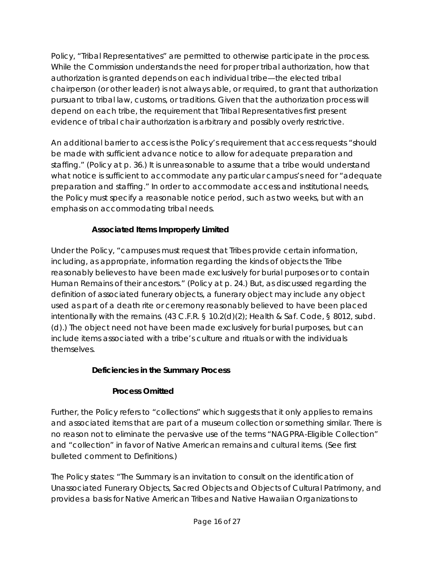Policy, "Tribal Representatives" are permitted to otherwise participate in the process. While the Commission understands the need for proper tribal authorization, how that authorization is granted depends on each individual tribe—the elected tribal chairperson (or other leader) is not always able, or required, to grant that authorization pursuant to tribal law, customs, or traditions. Given that the authorization process will depend on each tribe, the requirement that Tribal Representatives first present evidence of tribal chair authorization is arbitrary and possibly overly restrictive.

An additional barrier to access is the Policy's requirement that access requests "should be made with sufficient advance notice to allow for adequate preparation and staffing." (Policy at p. 36.) It is unreasonable to assume that a tribe would understand what notice is sufficient to accommodate any particular campus's need for "adequate preparation and staffing." In order to accommodate access and institutional needs, the Policy must specify a reasonable notice period, such as two weeks, but with an emphasis on accommodating tribal needs.

# **Associated Items Improperly Limited**

Under the Policy, "campuses must request that Tribes provide certain information, including, as appropriate, information regarding the kinds of objects the Tribe reasonably believes to have been made exclusively for burial purposes or to contain Human Remains of their ancestors." (Policy at p. 24.) But, as discussed regarding the definition of associated funerary objects, a funerary object may include any object used as part of a death rite or ceremony reasonably believed to have been placed intentionally with the remains. (43 C.F.R. § 10.2(d)(2); Health & Saf. Code, § 8012, subd. (d).) The object need not have been made exclusively for burial purposes, but can include items associated with a tribe's culture and rituals or with the individuals themselves.

# **Deficiencies in the Summary Process**

# **Process Omitted**

Further, the Policy refers to "collections" which suggests that it only applies to remains and associated items that are part of a museum collection or something similar. There is no reason not to eliminate the pervasive use of the terms "NAGPRA-Eligible Collection" and "collection" in favor of Native American remains and cultural items. (See first bulleted comment to Definitions.)

The Policy states: "The Summary is an invitation to consult on the identification of Unassociated Funerary Objects, Sacred Objects and Objects of Cultural Patrimony, and provides a basis for Native American Tribes and Native Hawaiian Organizations to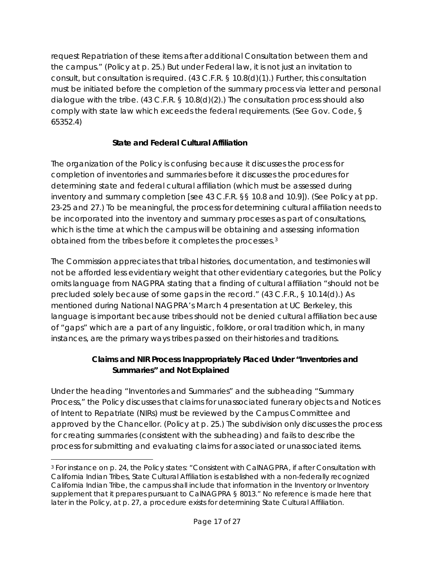request Repatriation of these items after additional Consultation between them and the campus." (Policy at p. 25.) But under Federal law, it is not just an invitation to consult, but consultation is required. (43 C.F.R. § 10.8(d)(1).) Further, this consultation must be initiated before the completion of the summary process via letter and personal dialogue with the tribe. (43 C.F.R. § 10.8(d)(2).) The consultation process should also comply with state law which exceeds the federal requirements. (See Gov. Code, § 65352.4)

# **State and Federal Cultural Affiliation**

The organization of the Policy is confusing because it discusses the process for completion of inventories and summaries before it discusses the procedures for determining state and federal cultural affiliation (which must be assessed during inventory and summary completion [see 43 C.F.R. §§ 10.8 and 10.9]). (See Policy at pp. 23-25 and 27.) To be meaningful, the process for determining cultural affiliation needs to be incorporated into the inventory and summary processes as part of consultations, which is the time at which the campus will be obtaining and assessing information obtained from the tribes before it completes the processes.[3](#page-16-0)

The Commission appreciates that tribal histories, documentation, and testimonies will not be afforded less evidentiary weight that other evidentiary categories, but the Policy omits language from NAGPRA stating that a finding of cultural affiliation "should not be precluded solely because of some gaps in the record." (43 C.F.R., § 10.14(d).) As mentioned during National NAGPRA's March 4 presentation at UC Berkeley, this language is important because tribes should not be denied cultural affiliation because of "gaps" which are a part of any linguistic, folklore, or oral tradition which, in many instances, are the primary ways tribes passed on their histories and traditions.

# **Claims and NIR Process Inappropriately Placed Under "Inventories and Summaries" and Not Explained**

Under the heading "Inventories and Summaries" and the subheading "Summary Process," the Policy discusses that claims for unassociated funerary objects and Notices of Intent to Repatriate (NIRs) must be reviewed by the Campus Committee and approved by the Chancellor. (Policy at p. 25.) The subdivision only discusses the process for creating summaries (consistent with the subheading) and fails to describe the process for submitting and evaluating claims for associated or unassociated items.

<span id="page-16-0"></span> $\overline{a}$ <sup>3</sup> For instance on p. 24, the Policy states: "Consistent with CalNAGPRA, if after Consultation with California Indian Tribes, State Cultural Affiliation is established with a non-federally recognized California Indian Tribe, the campus shall include that information in the Inventory or Inventory supplement that it prepares pursuant to CalNAGPRA § 8013." No reference is made here that later in the Policy, at p. 27, a procedure exists for determining State Cultural Affiliation.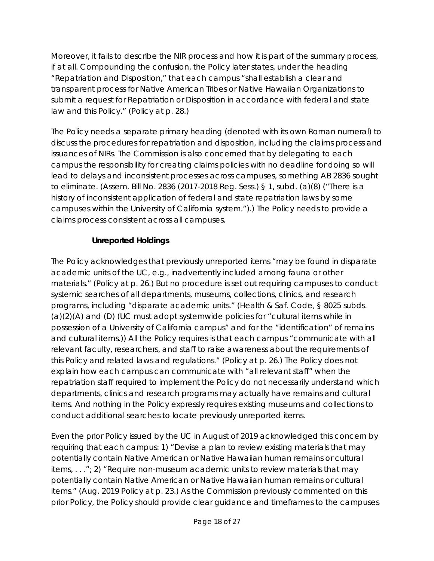Moreover, it fails to describe the NIR process and how it is part of the summary process, if at all. Compounding the confusion, the Policy later states, under the heading "Repatriation and Disposition," that each campus "shall establish a clear and transparent process for Native American Tribes or Native Hawaiian Organizations to submit a request for Repatriation or Disposition in accordance with federal and state law and this Policy." (Policy at p. 28.)

The Policy needs a separate primary heading (denoted with its own Roman numeral) to discuss the procedures for repatriation and disposition, including the claims process and issuances of NIRs. The Commission is also concerned that by delegating to each campus the responsibility for creating claims policies with no deadline for doing so will lead to delays and inconsistent processes across campuses, something AB 2836 sought to eliminate. (Assem. Bill No. 2836 (2017-2018 Reg. Sess.) § 1, subd. (a)(8) ("There is a history of inconsistent application of federal and state repatriation laws by some campuses within the University of California system.").) The Policy needs to provide a claims process consistent across all campuses.

# **Unreported Holdings**

The Policy acknowledges that previously unreported items "may be found in disparate academic units of the UC, e.g., inadvertently included among fauna or other materials." (Policy at p. 26.) But no procedure is set out requiring campuses to conduct systemic searches of all departments, museums, collections, clinics, and research programs, including "disparate academic units." (Health & Saf. Code, § 8025 subds. (a)(2)(A) and (D) (UC must adopt systemwide policies for "cultural items while in possession of a University of California campus" and for the "identification" of remains and cultural items.)) All the Policy requires is that each campus "communicate with all relevant faculty, researchers, and staff to raise awareness about the requirements of this Policy and related laws and regulations." (Policy at p. 26.) The Policy does not explain how each campus can communicate with "all relevant staff" when the repatriation staff required to implement the Policy do not necessarily understand which departments, clinics and research programs may actually have remains and cultural items. And nothing in the Policy expressly requires existing museums and collections to conduct additional searches to locate previously unreported items.

Even the prior Policy issued by the UC in August of 2019 acknowledged this concern by requiring that each campus: 1) "Devise a plan to review existing materials that may potentially contain Native American or Native Hawaiian human remains or cultural items, . . ."; 2) "Require non-museum academic units to review materials that may potentially contain Native American or Native Hawaiian human remains or cultural items." (Aug. 2019 Policy at p. 23.) As the Commission previously commented on this prior Policy, the Policy should provide clear guidance and timeframes to the campuses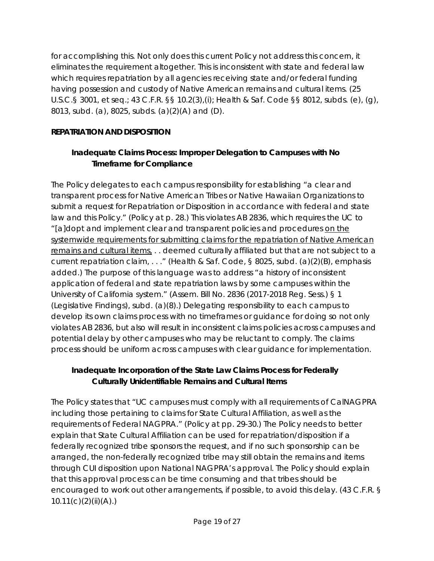for accomplishing this. Not only does this current Policy not address this concern, it eliminates the requirement altogether. This is inconsistent with state and federal law which requires repatriation by all agencies receiving state and/or federal funding having possession and custody of Native American remains and cultural items. (25 U.S.C.§ 3001, et seq.; 43 C.F.R. §§ 10.2(3),(i); Health & Saf. Code §§ 8012, subds. (e), (g), 8013, subd. (a), 8025, subds. (a)(2)(A) and (D).

# **REPATRIATION AND DISPOSITION**

# **Inadequate Claims Process: Improper Delegation to Campuses with No Timeframe for Compliance**

The Policy delegates to each campus responsibility for establishing "a clear and transparent process for Native American Tribes or Native Hawaiian Organizations to submit a request for Repatriation or Disposition in accordance with federal and state law and this Policy." (Policy at p. 28.) This violates AB 2836, which requires the UC to "[a]dopt and implement clear and transparent policies and procedures on the systemwide requirements for submitting claims for the repatriation of Native American remains and cultural items, . . deemed culturally affiliated but that are not subject to a current repatriation claim, . . ." (Health & Saf. Code, § 8025, subd. (a)(2)(B), emphasis added.) The purpose of this language was to address "a history of inconsistent application of federal and state repatriation laws by some campuses within the University of California system." (Assem. Bill No. 2836 (2017-2018 Reg. Sess.) § 1 (Legislative Findings), subd. (a)(8).) Delegating responsibility to each campus to develop its own claims process with no timeframes or guidance for doing so not only violates AB 2836, but also will result in inconsistent claims policies across campuses and potential delay by other campuses who may be reluctant to comply. The claims process should be uniform across campuses with clear guidance for implementation.

# **Inadequate Incorporation of the State Law Claims Process for Federally Culturally Unidentifiable Remains and Cultural Items**

The Policy states that "UC campuses must comply with all requirements of CalNAGPRA including those pertaining to claims for State Cultural Affiliation, as well as the requirements of Federal NAGPRA." (Policy at pp. 29-30.) The Policy needs to better explain that State Cultural Affiliation can be used for repatriation/disposition if a federally recognized tribe sponsors the request, and if no such sponsorship can be arranged, the non-federally recognized tribe may still obtain the remains and items through CUI disposition upon National NAGPRA's approval. The Policy should explain that this approval process can be time consuming and that tribes should be encouraged to work out other arrangements, if possible, to avoid this delay. (43 C.F.R. §  $10.11(c)(2)(ii)(A)$ .)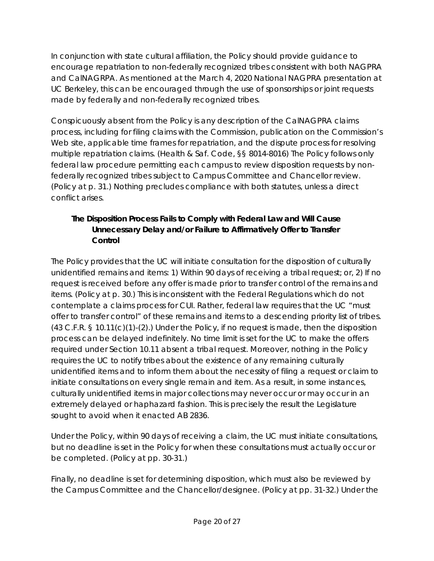In conjunction with state cultural affiliation, the Policy should provide guidance to encourage repatriation to non-federally recognized tribes consistent with both NAGPRA and CalNAGRPA. As mentioned at the March 4, 2020 National NAGPRA presentation at UC Berkeley, this can be encouraged through the use of sponsorships or joint requests made by federally and non-federally recognized tribes.

Conspicuously absent from the Policy is any description of the CalNAGPRA claims process, including for filing claims with the Commission, publication on the Commission's Web site, applicable time frames for repatriation, and the dispute process for resolving multiple repatriation claims. (Health & Saf. Code, §§ 8014-8016) The Policy follows only federal law procedure permitting each campus to review disposition requests by nonfederally recognized tribes subject to Campus Committee and Chancellor review. (Policy at p. 31.) Nothing precludes compliance with both statutes, unless a direct conflict arises.

# **The Disposition Process Fails to Comply with Federal Law and Will Cause Unnecessary Delay and/or Failure to Affirmatively Offer to Transfer Control**

The Policy provides that the UC will initiate consultation for the disposition of culturally unidentified remains and items: 1) Within 90 days of receiving a tribal request; or, 2) If no request is received before any offer is made prior to transfer control of the remains and items. (Policy at p. 30.) This is inconsistent with the Federal Regulations which do not contemplate a claims process for CUI. Rather, federal law requires that the UC "must offer to transfer control" of these remains and items to a descending priority list of tribes. (43 C.F.R. § 10.11(c)(1)-(2).) Under the Policy, if no request is made, then the disposition process can be delayed indefinitely. No time limit is set for the UC to make the offers required under Section 10.11 absent a tribal request. Moreover, nothing in the Policy requires the UC to notify tribes about the existence of any remaining culturally unidentified items and to inform them about the necessity of filing a request or claim to initiate consultations on every single remain and item. As a result, in some instances, culturally unidentified items in major collections may never occur or may occur in an extremely delayed or haphazard fashion. This is precisely the result the Legislature sought to avoid when it enacted AB 2836.

Under the Policy, within 90 days of receiving a claim, the UC must initiate consultations, but no deadline is set in the Policy for when these consultations must actually occur or be completed. (Policy at pp. 30-31.)

Finally, no deadline is set for determining disposition, which must also be reviewed by the Campus Committee and the Chancellor/designee. (Policy at pp. 31-32.) Under the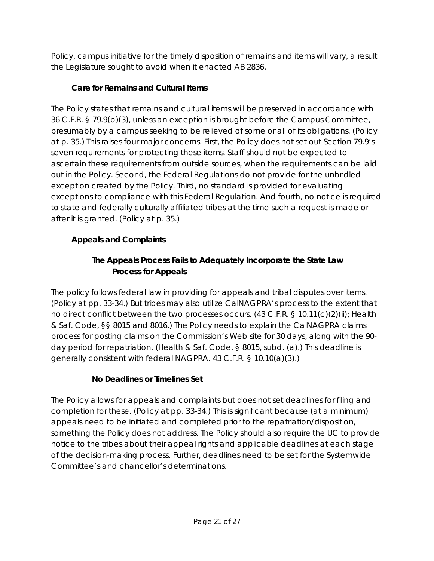Policy, campus initiative for the timely disposition of remains and items will vary, a result the Legislature sought to avoid when it enacted AB 2836.

# **Care for Remains and Cultural Items**

The Policy states that remains and cultural items will be preserved in accordance with 36 C.F.R. § 79.9(b)(3), unless an exception is brought before the Campus Committee, presumably by a campus seeking to be relieved of some or all of its obligations. (Policy at p. 35.) This raises four major concerns. First, the Policy does not set out Section 79.9's seven requirements for protecting these items. Staff should not be expected to ascertain these requirements from outside sources, when the requirements can be laid out in the Policy. Second, the Federal Regulations do not provide for the unbridled exception created by the Policy. Third, no standard is provided for evaluating exceptions to compliance with this Federal Regulation. And fourth, no notice is required to state and federally culturally affiliated tribes at the time such a request is made or after it is granted. (Policy at p. 35.)

# **Appeals and Complaints**

# **The Appeals Process Fails to Adequately Incorporate the State Law Process for Appeals**

The policy follows federal law in providing for appeals and tribal disputes over items. (Policy at pp. 33-34.) But tribes may also utilize CalNAGPRA's process to the extent that no direct conflict between the two processes occurs. (43 C.F.R. § 10.11(c)(2)(ii); Health & Saf. Code, §§ 8015 and 8016.) The Policy needs to explain the CalNAGPRA claims process for posting claims on the Commission's Web site for 30 days, along with the 90 day period for repatriation. (Health & Saf. Code, § 8015, subd. (a).) This deadline is generally consistent with federal NAGPRA. 43 C.F.R. § 10.10(a)(3).)

# **No Deadlines or Timelines Set**

The Policy allows for appeals and complaints but does not set deadlines for filing and completion for these. (Policy at pp. 33-34.) This is significant because (at a minimum) appeals need to be initiated and completed prior to the repatriation/disposition, something the Policy does not address. The Policy should also require the UC to provide notice to the tribes about their appeal rights and applicable deadlines at each stage of the decision-making process. Further, deadlines need to be set for the Systemwide Committee's and chancellor's determinations.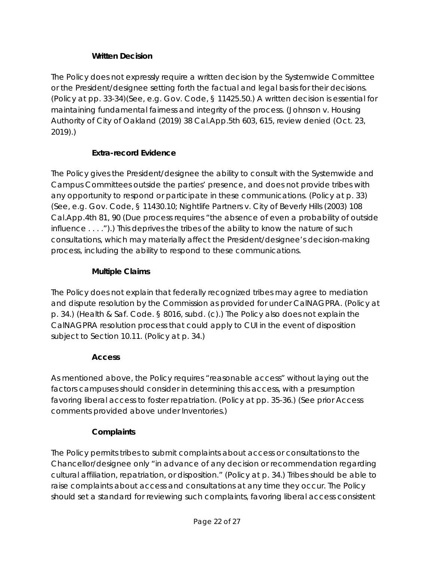## **Written Decision**

The Policy does not expressly require a written decision by the Systemwide Committee or the President/designee setting forth the factual and legal basis for their decisions. (Policy at pp. 33-34)(See, e.g. Gov. Code, § 11425.50.) A written decision is essential for maintaining fundamental fairness and integrity of the process. (*Johnson v. Housing Authority of City of Oakland* (2019) 38 Cal.App.5th 603, 615, *review denied (Oct. 23, 2019)*.)

### **Extra-record Evidence**

The Policy gives the President/designee the ability to consult with the Systemwide and Campus Committees outside the parties' presence, and does not provide tribes with any opportunity to respond or participate in these communications. (Policy at p. 33) (See, e.g. Gov. Code, § 11430.10; *Nightlife Partners v. City of Beverly Hills* (2003) 108 Cal.App.4th 81, 90 (Due process requires "the absence of even a probability of outside influence . . . .").) This deprives the tribes of the ability to know the nature of such consultations, which may materially affect the President/designee's decision-making process, including the ability to respond to these communications.

### **Multiple Claims**

The Policy does not explain that federally recognized tribes may agree to mediation and dispute resolution by the Commission as provided for under CalNAGPRA. (Policy at p. 34.) (Health & Saf. Code. § 8016, subd. (c).) The Policy also does not explain the CalNAGPRA resolution process that could apply to CUI in the event of disposition subject to Section 10.11. (Policy at p. 34.)

### **Access**

As mentioned above, the Policy requires "reasonable access" without laying out the factors campuses should consider in determining this access, with a presumption favoring liberal access to foster repatriation. (Policy at pp. 35-36.) (See prior Access comments provided above under Inventories.)

# **Complaints**

The Policy permits tribes to submit complaints about access or consultations to the Chancellor/designee only "in advance of any decision or recommendation regarding cultural affiliation, repatriation, or disposition." (Policy at p. 34.) Tribes should be able to raise complaints about access and consultations at any time they occur. The Policy should set a standard for reviewing such complaints, favoring liberal access consistent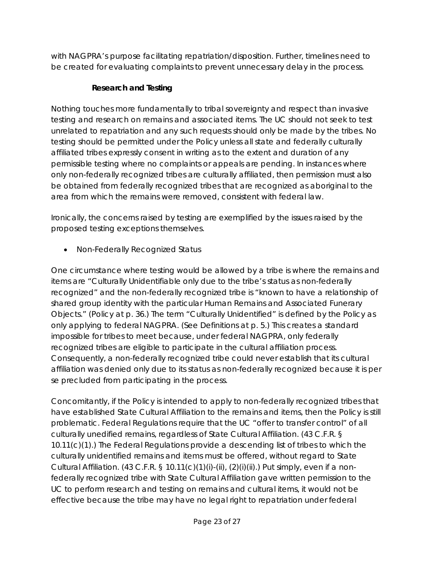with NAGPRA's purpose facilitating repatriation/disposition. Further, timelines need to be created for evaluating complaints to prevent unnecessary delay in the process.

# **Research and Testing**

Nothing touches more fundamentally to tribal sovereignty and respect than invasive testing and research on remains and associated items. The UC should not seek to test unrelated to repatriation and any such requests should only be made by the tribes. No testing should be permitted under the Policy unless all state and federally culturally affiliated tribes expressly consent in writing as to the extent and duration of any permissible testing where no complaints or appeals are pending. In instances where only non-federally recognized tribes are culturally affiliated, then permission must also be obtained from federally recognized tribes that are recognized as aboriginal to the area from which the remains were removed, consistent with federal law.

Ironically, the concerns raised by testing are exemplified by the issues raised by the proposed testing exceptions themselves.

• *Non-Federally Recognized Status*

One circumstance where testing would be allowed by a tribe is where the remains and items are "Culturally Unidentifiable only due to the tribe's status as non-federally recognized" and the non-federally recognized tribe is "known to have a relationship of shared group identity with the particular Human Remains and Associated Funerary Objects." (Policy at p. 36.) The term "Culturally Unidentified" is defined by the Policy as only applying to federal NAGPRA. (See Definitions at p. 5.) This creates a standard impossible for tribes to meet because, under federal NAGPRA, only federally recognized tribes are eligible to participate in the cultural affiliation process. Consequently, a non-federally recognized tribe could never establish that its cultural affiliation was denied only due to its status as non-federally recognized because it is *per se* precluded from participating in the process.

Concomitantly, if the Policy is intended to apply to non-federally recognized tribes that have established State Cultural Affiliation to the remains and items, then the Policy is still problematic. Federal Regulations require that the UC "offer to transfer control" of all culturally unedified remains, regardless of State Cultural Affiliation. (43 C.F.R. § 10.11(c)(1).) The Federal Regulations provide a descending list of tribes to which the culturally unidentified remains and items must be offered, without regard to State Cultural Affiliation. (43 C.F.R. § 10.11(c)(1)(i)-(ii), (2)(i)(ii).) Put simply, even if a nonfederally recognized tribe with State Cultural Affiliation gave written permission to the UC to perform research and testing on remains and cultural items, it would not be effective because the tribe may have no legal right to repatriation under federal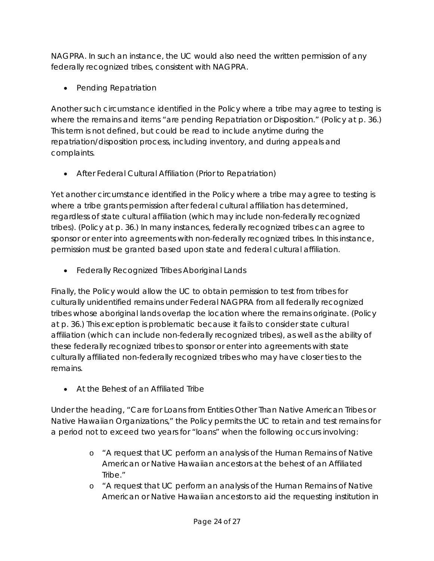NAGPRA. In such an instance, the UC would also need the written permission of any federally recognized tribes, consistent with NAGPRA.

• *Pending Repatriation*

Another such circumstance identified in the Policy where a tribe may agree to testing is where the remains and items "are pending Repatriation or Disposition." (Policy at p. 36.) This term is not defined, but could be read to include anytime during the repatriation/disposition process, including inventory, and during appeals and complaints.

• *After Federal Cultural Affiliation (Prior to Repatriation)*

Yet another circumstance identified in the Policy where a tribe may agree to testing is where a tribe grants permission after federal cultural affiliation has determined, regardless of state cultural affiliation (which may include non-federally recognized tribes). (Policy at p. 36.) In many instances, federally recognized tribes can agree to sponsor or enter into agreements with non-federally recognized tribes. In this instance, permission must be granted based upon state and federal cultural affiliation.

• *Federally Recognized Tribes Aboriginal Lands*

Finally, the Policy would allow the UC to obtain permission to test from tribes for culturally unidentified remains under Federal NAGPRA from all federally recognized tribes whose aboriginal lands overlap the location where the remains originate. (Policy at p. 36.) This exception is problematic because it fails to consider state cultural affiliation (which can include non-federally recognized tribes), as well as the ability of these federally recognized tribes to sponsor or enter into agreements with state culturally affiliated non-federally recognized tribes who may have closer ties to the remains.

• *At the Behest of an Affiliated Tribe*

Under the heading, "Care for Loans from Entities Other Than Native American Tribes or Native Hawaiian Organizations," the Policy permits the UC to retain and test remains for a period not to exceed two years for "loans" when the following occurs involving:

- o "A request that UC perform an analysis of the Human Remains of Native American or Native Hawaiian ancestors at the behest of an Affiliated Tribe."
- o "A request that UC perform an analysis of the Human Remains of Native American or Native Hawaiian ancestors to aid the requesting institution in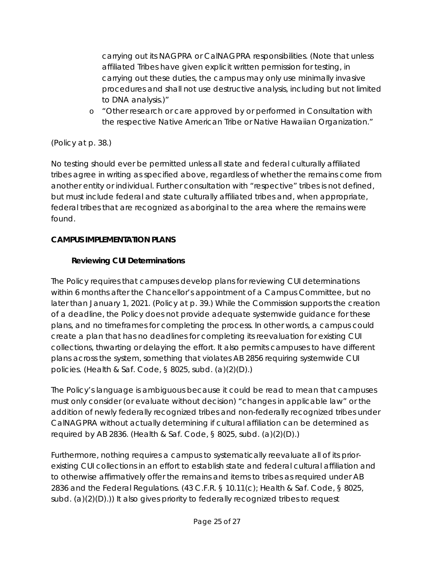carrying out its NAGPRA or CalNAGPRA responsibilities. (Note that unless affiliated Tribes have given explicit written permission for testing, in carrying out these duties, the campus may only use minimally invasive procedures and shall not use destructive analysis, including but not limited to DNA analysis.)"

o "Other research or care approved by or performed in Consultation with the respective Native American Tribe or Native Hawaiian Organization."

# (Policy at p. 38.)

No testing should ever be permitted unless all state and federal culturally affiliated tribes agree in writing as specified above, regardless of whether the remains come from another entity or individual. Further consultation with "respective" tribes is not defined, but must include federal and state culturally affiliated tribes and, when appropriate, federal tribes that are recognized as aboriginal to the area where the remains were found.

# **CAMPUS IMPLEMENTATION PLANS**

# **Reviewing CUI Determinations**

The Policy requires that campuses develop plans for reviewing CUI determinations within 6 months after the Chancellor's appointment of a Campus Committee, but no later than January 1, 2021. (Policy at p. 39.) While the Commission supports the creation of a deadline, the Policy does not provide adequate systemwide guidance for these plans, and no timeframes for completing the process. In other words, a campus could create a plan that has no deadlines for completing its reevaluation for existing CUI collections, thwarting or delaying the effort. It also permits campuses to have different plans across the system, something that violates AB 2856 requiring systemwide CUI policies. (Health & Saf. Code, § 8025, subd. (a)(2)(D).)

The Policy's language is ambiguous because it could be read to mean that campuses must only consider (or evaluate without decision) "changes in applicable law" or the addition of newly federally recognized tribes and non-federally recognized tribes under CalNAGPRA without actually determining if cultural affiliation can be determined as required by AB 2836. (Health & Saf. Code, § 8025, subd. (a)(2)(D).)

Furthermore, nothing requires a campus to systematically reevaluate all of its priorexisting CUI collections in an effort to establish state and federal cultural affiliation and to otherwise affirmatively offer the remains and items to tribes as required under AB 2836 and the Federal Regulations. (43 C.F.R. § 10.11(c); Health & Saf. Code, § 8025, subd. (a)(2)(D).)) It also gives priority to federally recognized tribes to request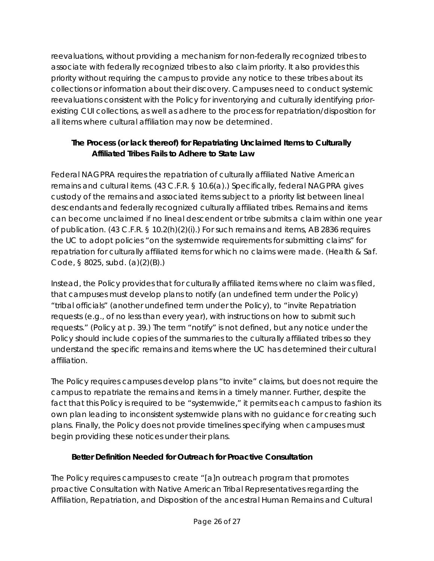reevaluations, without providing a mechanism for non-federally recognized tribes to associate with federally recognized tribes to also claim priority. It also provides this priority without requiring the campus to provide any notice to these tribes about its collections or information about their discovery. Campuses need to conduct systemic reevaluations consistent with the Policy for inventorying and culturally identifying priorexisting CUI collections, as well as adhere to the process for repatriation/disposition for all items where cultural affiliation may now be determined.

# **The Process (or lack thereof) for Repatriating Unclaimed Items to Culturally Affiliated Tribes Fails to Adhere to State Law**

Federal NAGPRA requires the repatriation of culturally affiliated Native American remains and cultural items. (43 C.F.R. § 10.6(a).) Specifically, federal NAGPRA gives custody of the remains and associated items subject to a priority list between lineal descendants and federally recognized culturally affiliated tribes. Remains and items can become unclaimed if no lineal descendent or tribe submits a claim within one year of publication. (43 C.F.R. § 10.2(h)(2)(i).) For such remains and items, AB 2836 requires the UC to adopt policies "on the systemwide requirements for submitting claims" for repatriation for culturally affiliated items for which no claims were made. (Health & Saf. Code, § 8025, subd. (a)(2)(B).)

Instead, the Policy provides that for culturally affiliated items where no claim was filed, that campuses must develop plans to notify (an undefined term under the Policy) "tribal officials" (another undefined term under the Policy), to "invite Repatriation requests (e.g., of no less than every year), with instructions on how to submit such requests." (Policy at p. 39.) The term "notify" is not defined, but any notice under the Policy should include copies of the summaries to the culturally affiliated tribes so they understand the specific remains and items where the UC has determined their cultural affiliation.

The Policy requires campuses develop plans "to invite" claims, but does not require the campus to repatriate the remains and items in a timely manner. Further, despite the fact that this Policy is required to be "systemwide," it permits each campus to fashion its own plan leading to inconsistent systemwide plans with no guidance for creating such plans. Finally, the Policy does not provide timelines specifying when campuses must begin providing these notices under their plans.

# **Better Definition Needed for Outreach for Proactive Consultation**

The Policy requires campuses to create "[a]n outreach program that promotes proactive Consultation with Native American Tribal Representatives regarding the Affiliation, Repatriation, and Disposition of the ancestral Human Remains and Cultural